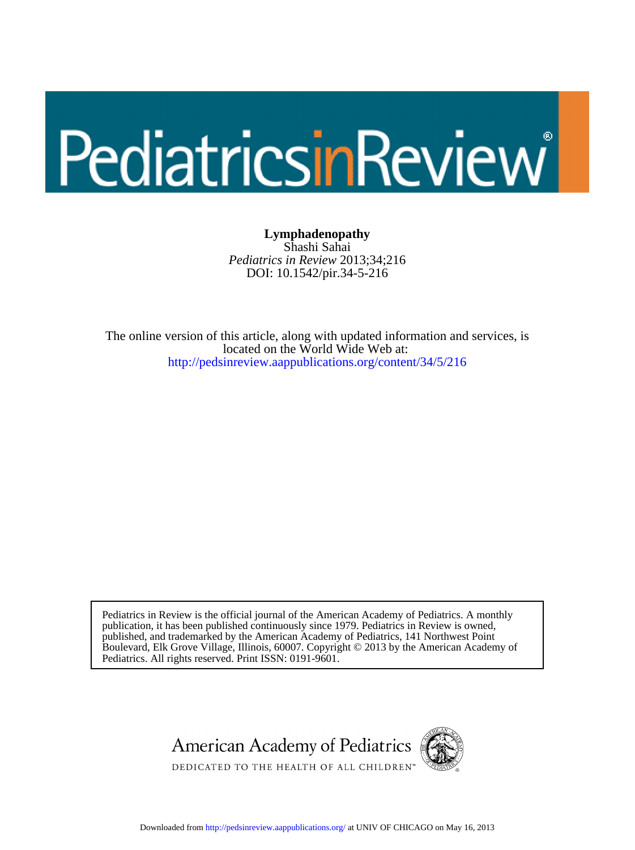# PediatricsinReview

DOI: 10.1542/pir.34-5-216 *Pediatrics in Review* 2013;34;216 Shashi Sahai **Lymphadenopathy**

<http://pedsinreview.aappublications.org/content/34/5/216> located on the World Wide Web at: The online version of this article, along with updated information and services, is

Pediatrics. All rights reserved. Print ISSN: 0191-9601. Boulevard, Elk Grove Village, Illinois, 60007. Copyright © 2013 by the American Academy of published, and trademarked by the American Academy of Pediatrics, 141 Northwest Point publication, it has been published continuously since 1979. Pediatrics in Review is owned, Pediatrics in Review is the official journal of the American Academy of Pediatrics. A monthly

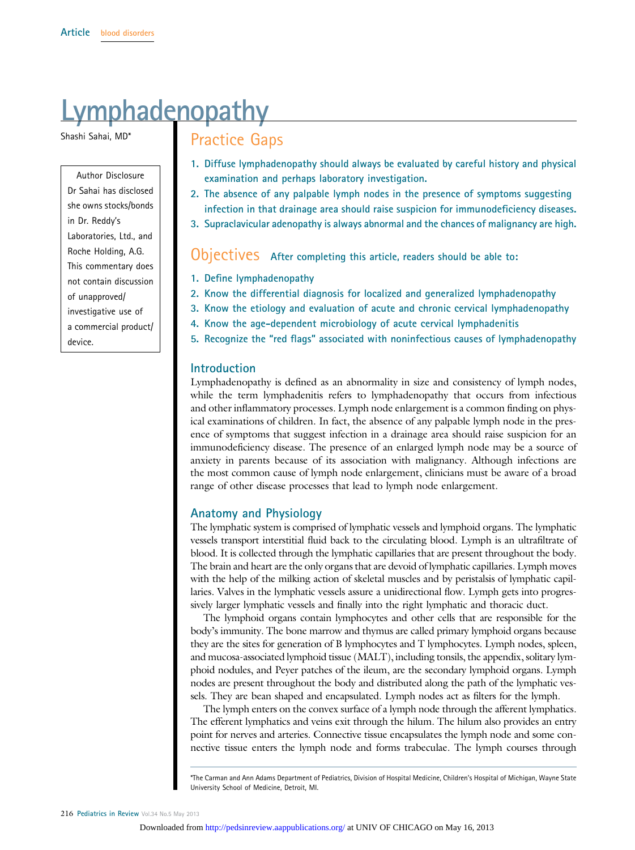# mphadenopath

Shashi Sahai, MD\*

### Author Disclosure Dr Sahai has disclosed she owns stocks/bonds in Dr. Reddy's Laboratories, Ltd., and Roche Holding, A.G. This commentary does not contain discussion of unapproved/ investigative use of a commercial product/ device.

# Practice Gaps

- 1. Diffuse lymphadenopathy should always be evaluated by careful history and physical examination and perhaps laboratory investigation.
- 2. The absence of any palpable lymph nodes in the presence of symptoms suggesting infection in that drainage area should raise suspicion for immunodeficiency diseases.
- 3. Supraclavicular adenopathy is always abnormal and the chances of malignancy are high.

## Objectives After completing this article, readers should be able to:

- 1. Define lymphadenopathy
- 2. Know the differential diagnosis for localized and generalized lymphadenopathy
- 3. Know the etiology and evaluation of acute and chronic cervical lymphadenopathy
- 4. Know the age-dependent microbiology of acute cervical lymphadenitis
- 5. Recognize the "red flags" associated with noninfectious causes of lymphadenopathy

#### Introduction

Lymphadenopathy is defined as an abnormality in size and consistency of lymph nodes, while the term lymphadenitis refers to lymphadenopathy that occurs from infectious and other inflammatory processes. Lymph node enlargement is a common finding on physical examinations of children. In fact, the absence of any palpable lymph node in the presence of symptoms that suggest infection in a drainage area should raise suspicion for an immunodeficiency disease. The presence of an enlarged lymph node may be a source of anxiety in parents because of its association with malignancy. Although infections are the most common cause of lymph node enlargement, clinicians must be aware of a broad range of other disease processes that lead to lymph node enlargement.

#### Anatomy and Physiology

The lymphatic system is comprised of lymphatic vessels and lymphoid organs. The lymphatic vessels transport interstitial fluid back to the circulating blood. Lymph is an ultrafiltrate of blood. It is collected through the lymphatic capillaries that are present throughout the body. The brain and heart are the only organs that are devoid of lymphatic capillaries. Lymph moves with the help of the milking action of skeletal muscles and by peristalsis of lymphatic capillaries. Valves in the lymphatic vessels assure a unidirectional flow. Lymph gets into progressively larger lymphatic vessels and finally into the right lymphatic and thoracic duct.

The lymphoid organs contain lymphocytes and other cells that are responsible for the body's immunity. The bone marrow and thymus are called primary lymphoid organs because they are the sites for generation of B lymphocytes and T lymphocytes. Lymph nodes, spleen, and mucosa-associated lymphoid tissue (MALT), including tonsils, the appendix, solitary lymphoid nodules, and Peyer patches of the ileum, are the secondary lymphoid organs. Lymph nodes are present throughout the body and distributed along the path of the lymphatic vessels. They are bean shaped and encapsulated. Lymph nodes act as filters for the lymph.

The lymph enters on the convex surface of a lymph node through the afferent lymphatics. The efferent lymphatics and veins exit through the hilum. The hilum also provides an entry point for nerves and arteries. Connective tissue encapsulates the lymph node and some connective tissue enters the lymph node and forms trabeculae. The lymph courses through

\*The Carman and Ann Adams Department of Pediatrics, Division of Hospital Medicine, Children's Hospital of Michigan, Wayne State University School of Medicine, Detroit, MI.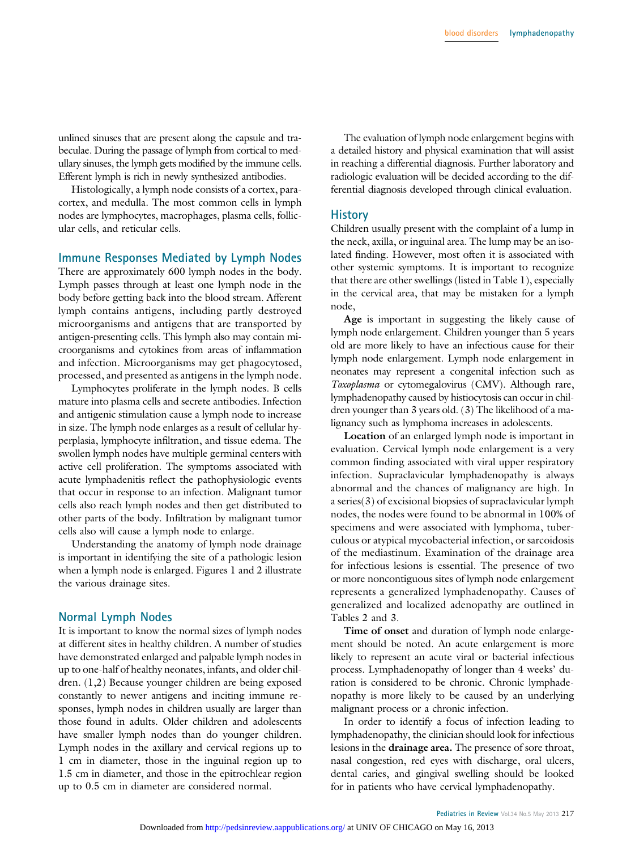unlined sinuses that are present along the capsule and trabeculae. During the passage of lymph from cortical to medullary sinuses, the lymph gets modified by the immune cells. Efferent lymph is rich in newly synthesized antibodies.

Histologically, a lymph node consists of a cortex, paracortex, and medulla. The most common cells in lymph nodes are lymphocytes, macrophages, plasma cells, follicular cells, and reticular cells.

#### Immune Responses Mediated by Lymph Nodes

There are approximately 600 lymph nodes in the body. Lymph passes through at least one lymph node in the body before getting back into the blood stream. Afferent lymph contains antigens, including partly destroyed microorganisms and antigens that are transported by antigen-presenting cells. This lymph also may contain microorganisms and cytokines from areas of inflammation and infection. Microorganisms may get phagocytosed, processed, and presented as antigens in the lymph node.

Lymphocytes proliferate in the lymph nodes. B cells mature into plasma cells and secrete antibodies. Infection and antigenic stimulation cause a lymph node to increase in size. The lymph node enlarges as a result of cellular hyperplasia, lymphocyte infiltration, and tissue edema. The swollen lymph nodes have multiple germinal centers with active cell proliferation. The symptoms associated with acute lymphadenitis reflect the pathophysiologic events that occur in response to an infection. Malignant tumor cells also reach lymph nodes and then get distributed to other parts of the body. Infiltration by malignant tumor cells also will cause a lymph node to enlarge.

Understanding the anatomy of lymph node drainage is important in identifying the site of a pathologic lesion when a lymph node is enlarged. Figures 1 and 2 illustrate the various drainage sites.

#### Normal Lymph Nodes

It is important to know the normal sizes of lymph nodes at different sites in healthy children. A number of studies have demonstrated enlarged and palpable lymph nodes in up to one-half of healthy neonates, infants, and older children. (1,2) Because younger children are being exposed constantly to newer antigens and inciting immune responses, lymph nodes in children usually are larger than those found in adults. Older children and adolescents have smaller lymph nodes than do younger children. Lymph nodes in the axillary and cervical regions up to 1 cm in diameter, those in the inguinal region up to 1.5 cm in diameter, and those in the epitrochlear region up to 0.5 cm in diameter are considered normal.

The evaluation of lymph node enlargement begins with a detailed history and physical examination that will assist in reaching a differential diagnosis. Further laboratory and radiologic evaluation will be decided according to the differential diagnosis developed through clinical evaluation.

#### **History**

Children usually present with the complaint of a lump in the neck, axilla, or inguinal area. The lump may be an isolated finding. However, most often it is associated with other systemic symptoms. It is important to recognize that there are other swellings (listed in Table 1), especially in the cervical area, that may be mistaken for a lymph node,

Age is important in suggesting the likely cause of lymph node enlargement. Children younger than 5 years old are more likely to have an infectious cause for their lymph node enlargement. Lymph node enlargement in neonates may represent a congenital infection such as Toxoplasma or cytomegalovirus (CMV). Although rare, lymphadenopathy caused by histiocytosis can occur in children younger than 3 years old. (3) The likelihood of a malignancy such as lymphoma increases in adolescents.

Location of an enlarged lymph node is important in evaluation. Cervical lymph node enlargement is a very common finding associated with viral upper respiratory infection. Supraclavicular lymphadenopathy is always abnormal and the chances of malignancy are high. In a series(3) of excisional biopsies of supraclavicular lymph nodes, the nodes were found to be abnormal in 100% of specimens and were associated with lymphoma, tuberculous or atypical mycobacterial infection, or sarcoidosis of the mediastinum. Examination of the drainage area for infectious lesions is essential. The presence of two or more noncontiguous sites of lymph node enlargement represents a generalized lymphadenopathy. Causes of generalized and localized adenopathy are outlined in Tables 2 and 3.

Time of onset and duration of lymph node enlargement should be noted. An acute enlargement is more likely to represent an acute viral or bacterial infectious process. Lymphadenopathy of longer than 4 weeks' duration is considered to be chronic. Chronic lymphadenopathy is more likely to be caused by an underlying malignant process or a chronic infection.

In order to identify a focus of infection leading to lymphadenopathy, the clinician should look for infectious lesions in the drainage area. The presence of sore throat, nasal congestion, red eyes with discharge, oral ulcers, dental caries, and gingival swelling should be looked for in patients who have cervical lymphadenopathy.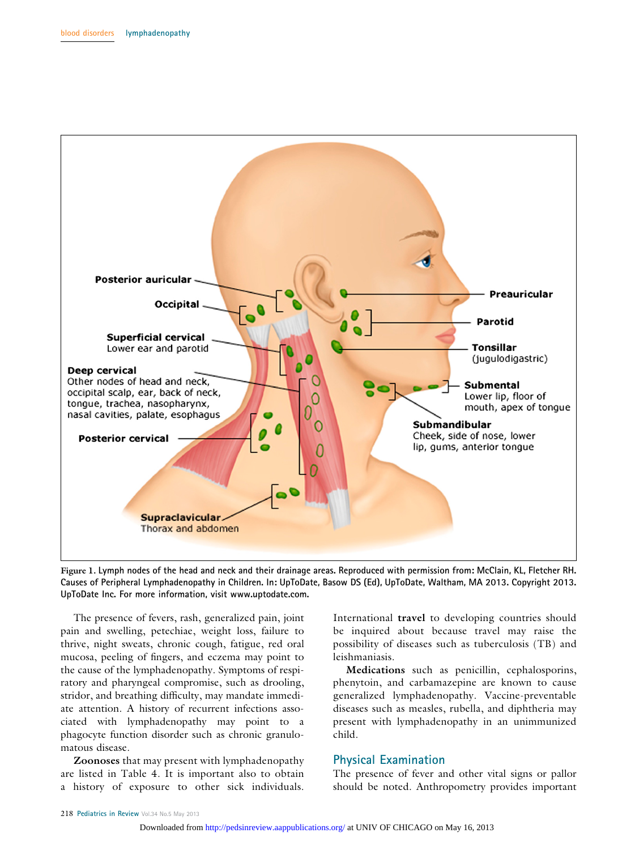

Figure 1. Lymph nodes of the head and neck and their drainage areas. Reproduced with permission from: McClain, KL, Fletcher RH. Causes of Peripheral Lymphadenopathy in Children. In: UpToDate, Basow DS (Ed), UpToDate, Waltham, MA 2013. Copyright 2013. UpToDate Inc. For more information, visit www.uptodate.com.

The presence of fevers, rash, generalized pain, joint pain and swelling, petechiae, weight loss, failure to thrive, night sweats, chronic cough, fatigue, red oral mucosa, peeling of fingers, and eczema may point to the cause of the lymphadenopathy. Symptoms of respiratory and pharyngeal compromise, such as drooling, stridor, and breathing difficulty, may mandate immediate attention. A history of recurrent infections associated with lymphadenopathy may point to a phagocyte function disorder such as chronic granulomatous disease.

Zoonoses that may present with lymphadenopathy are listed in Table 4. It is important also to obtain a history of exposure to other sick individuals.

International travel to developing countries should be inquired about because travel may raise the possibility of diseases such as tuberculosis (TB) and leishmaniasis.

Medications such as penicillin, cephalosporins, phenytoin, and carbamazepine are known to cause generalized lymphadenopathy. Vaccine-preventable diseases such as measles, rubella, and diphtheria may present with lymphadenopathy in an unimmunized child.

#### Physical Examination

The presence of fever and other vital signs or pallor should be noted. Anthropometry provides important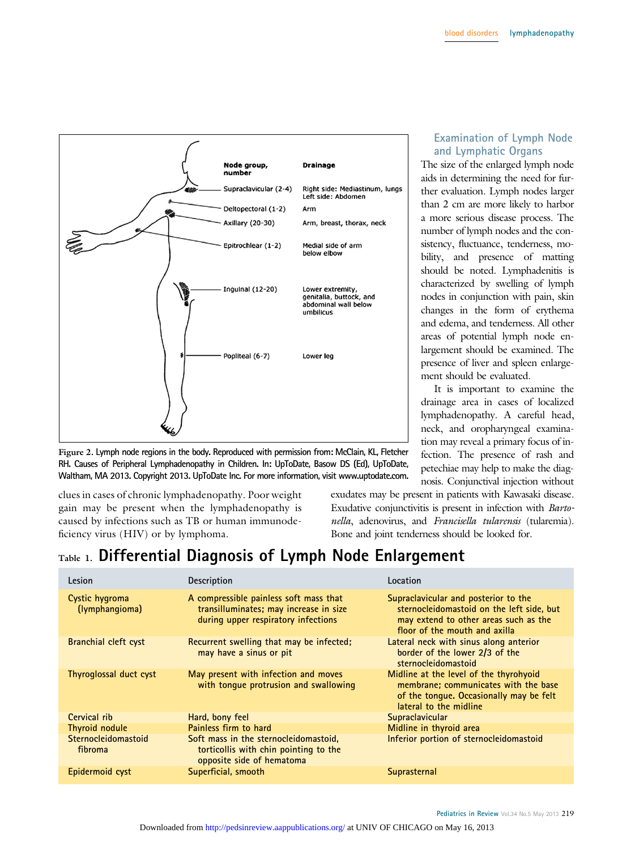

Figure 2. Lymph node regions in the body. Reproduced with permission from: McClain, KL, Fletcher RH. Causes of Peripheral Lymphadenopathy in Children. In: UpToDate, Basow DS (Ed), UpToDate, Waltham, MA 2013. Copyright 2013. UpToDate Inc. For more information, visit www.uptodate.com.

clues in cases of chronic lymphadenopathy. Poor weight gain may be present when the lymphadenopathy is caused by infections such as TB or human immunodeficiency virus (HIV) or by lymphoma.

#### Examination of Lymph Node and Lymphatic Organs

The size of the enlarged lymph node aids in determining the need for further evaluation. Lymph nodes larger than 2 cm are more likely to harbor a more serious disease process. The number of lymph nodes and the consistency, fluctuance, tenderness, mobility, and presence of matting should be noted. Lymphadenitis is characterized by swelling of lymph nodes in conjunction with pain, skin changes in the form of erythema and edema, and tenderness. All other areas of potential lymph node enlargement should be examined. The presence of liver and spleen enlargement should be evaluated.

It is important to examine the drainage area in cases of localized lymphadenopathy. A careful head, neck, and oropharyngeal examination may reveal a primary focus of infection. The presence of rash and petechiae may help to make the diagnosis. Conjunctival injection without

exudates may be present in patients with Kawasaki disease. Exudative conjunctivitis is present in infection with Bartonella, adenovirus, and Francisella tularensis (tularemia). Bone and joint tenderness should be looked for.

# Table 1. Differential Diagnosis of Lymph Node Enlargement

| Lesion                           | <b>Description</b>                                                                                                      | Location                                                                                                                                                    |
|----------------------------------|-------------------------------------------------------------------------------------------------------------------------|-------------------------------------------------------------------------------------------------------------------------------------------------------------|
| Cystic hygroma<br>(lymphangioma) | A compressible painless soft mass that<br>transilluminates; may increase in size<br>during upper respiratory infections | Supraclavicular and posterior to the<br>sternocleidomastoid on the left side, but<br>may extend to other areas such as the<br>floor of the mouth and axilla |
| <b>Branchial cleft cyst</b>      | Recurrent swelling that may be infected;<br>may have a sinus or pit                                                     | Lateral neck with sinus along anterior<br>border of the lower 2/3 of the<br>sternocleidomastoid                                                             |
| Thyroglossal duct cyst           | May present with infection and moves<br>with tongue protrusion and swallowing                                           | Midline at the level of the thyrohyoid<br>membrane: communicates with the base<br>of the tonque. Occasionally may be felt<br>lateral to the midline         |
| Cervical rib                     | Hard, bony feel                                                                                                         | Supraclavicular                                                                                                                                             |
| Thyroid nodule                   | Painless firm to hard                                                                                                   | Midline in thyroid area                                                                                                                                     |
| Sternocleidomastoid<br>fibroma   | Soft mass in the sternocleidomastoid,<br>torticollis with chin pointing to the<br>opposite side of hematoma             | Inferior portion of sternocleidomastoid                                                                                                                     |
| Epidermoid cyst                  | Superficial, smooth                                                                                                     | Suprasternal                                                                                                                                                |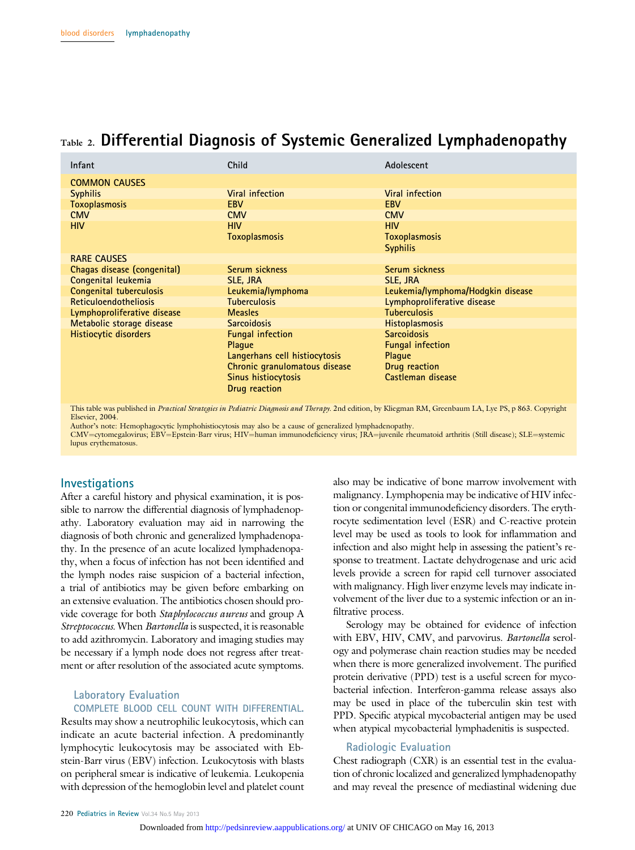| $_{\tiny\text{Table 2.}}$ Differential Diagnosis of Systemic Generalized Lymphadenopathy |  |  |  |  |  |  |
|------------------------------------------------------------------------------------------|--|--|--|--|--|--|
|------------------------------------------------------------------------------------------|--|--|--|--|--|--|

| Infant                       | Child                         | Adolescent                        |
|------------------------------|-------------------------------|-----------------------------------|
| <b>COMMON CAUSES</b>         |                               |                                   |
| <b>Syphilis</b>              | Viral infection               | Viral infection                   |
| <b>Toxoplasmosis</b>         | <b>EBV</b>                    | <b>EBV</b>                        |
| <b>CMV</b>                   | <b>CMV</b>                    | <b>CMV</b>                        |
| <b>HIV</b>                   | <b>HIV</b>                    | <b>HIV</b>                        |
|                              | <b>Toxoplasmosis</b>          | <b>Toxoplasmosis</b>              |
|                              |                               | <b>Syphilis</b>                   |
| <b>RARE CAUSES</b>           |                               |                                   |
| Chagas disease (congenital)  | Serum sickness                | Serum sickness                    |
| Congenital leukemia          | SLE, JRA                      | SLE, JRA                          |
| Congenital tuberculosis      | Leukemia/lymphoma             | Leukemia/lymphoma/Hodqkin disease |
| <b>Reticuloendotheliosis</b> | <b>Tuberculosis</b>           | Lymphoproliferative disease       |
| Lymphoproliferative disease  | <b>Measles</b>                | <b>Tuberculosis</b>               |
| Metabolic storage disease    | <b>Sarcoidosis</b>            | <b>Histoplasmosis</b>             |
| <b>Histiocytic disorders</b> | <b>Fungal infection</b>       | <b>Sarcoidosis</b>                |
|                              | Plaque                        | <b>Fungal infection</b>           |
|                              | Langerhans cell histiocytosis | Plaque                            |
|                              | Chronic granulomatous disease | Drug reaction                     |
|                              | Sinus histiocytosis           | Castleman disease                 |
|                              | Drug reaction                 |                                   |
|                              |                               |                                   |

This table was published in Practical Strategies in Pediatric Diagnosis and Therapy. 2nd edition, by Kliegman RM, Greenbaum LA, Lye PS, p 863. Copyright Elsevier, 2004.

Author's note: Hemophagocytic lymphohistiocytosis may also be a cause of generalized lymphadenopathy.

CMV=cytomegalovirus; EBV=Epstein-Barr virus; HIV=human immunodeficiency virus; JRA=juvenile rheumatoid arthritis (Still disease); SLE=systemic lupus erythematosus.

#### Investigations

After a careful history and physical examination, it is possible to narrow the differential diagnosis of lymphadenopathy. Laboratory evaluation may aid in narrowing the diagnosis of both chronic and generalized lymphadenopathy. In the presence of an acute localized lymphadenopathy, when a focus of infection has not been identified and the lymph nodes raise suspicion of a bacterial infection, a trial of antibiotics may be given before embarking on an extensive evaluation. The antibiotics chosen should provide coverage for both Staphylococcus aureus and group A Streptococcus. When Bartonella is suspected, it is reasonable to add azithromycin. Laboratory and imaging studies may be necessary if a lymph node does not regress after treatment or after resolution of the associated acute symptoms.

#### Laboratory Evaluation

#### COMPLETE BLOOD CELL COUNT WITH DIFFERENTIAL.

Results may show a neutrophilic leukocytosis, which can indicate an acute bacterial infection. A predominantly lymphocytic leukocytosis may be associated with Ebstein-Barr virus (EBV) infection. Leukocytosis with blasts on peripheral smear is indicative of leukemia. Leukopenia with depression of the hemoglobin level and platelet count also may be indicative of bone marrow involvement with malignancy. Lymphopenia may be indicative of HIV infection or congenital immunodeficiency disorders. The erythrocyte sedimentation level (ESR) and C-reactive protein level may be used as tools to look for inflammation and infection and also might help in assessing the patient's response to treatment. Lactate dehydrogenase and uric acid levels provide a screen for rapid cell turnover associated with malignancy. High liver enzyme levels may indicate involvement of the liver due to a systemic infection or an infiltrative process.

Serology may be obtained for evidence of infection with EBV, HIV, CMV, and parvovirus. Bartonella serology and polymerase chain reaction studies may be needed when there is more generalized involvement. The purified protein derivative (PPD) test is a useful screen for mycobacterial infection. Interferon-gamma release assays also may be used in place of the tuberculin skin test with PPD. Specific atypical mycobacterial antigen may be used when atypical mycobacterial lymphadenitis is suspected.

#### Radiologic Evaluation

Chest radiograph (CXR) is an essential test in the evaluation of chronic localized and generalized lymphadenopathy and may reveal the presence of mediastinal widening due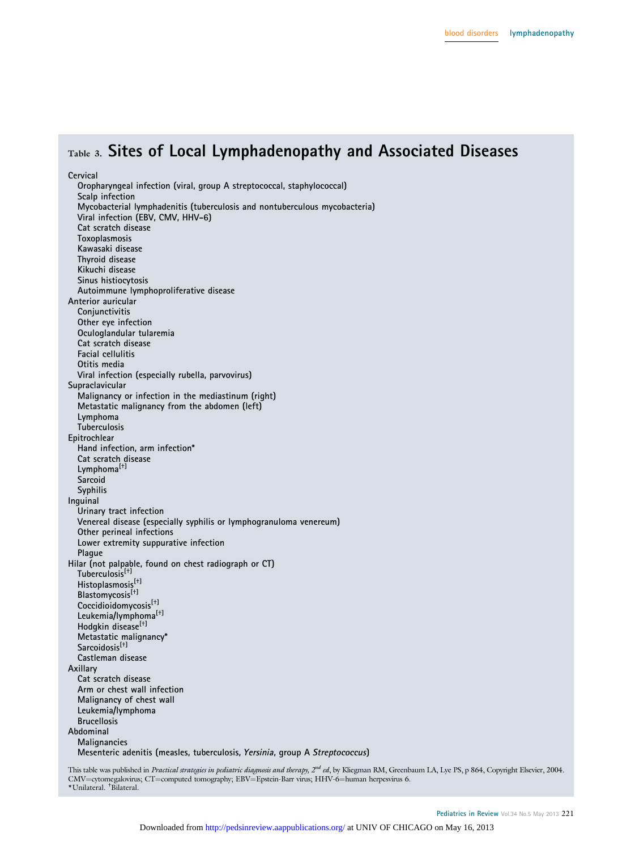# Table 3. Sites of Local Lymphadenopathy and Associated Diseases

**Cervical** 

Oropharyngeal infection (viral, group A streptococcal, staphylococcal) Scalp infection Mycobacterial lymphadenitis (tuberculosis and nontuberculous mycobacteria) Viral infection (EBV, CMV, HHV-6) Cat scratch disease Toxoplasmosis Kawasaki disease Thyroid disease Kikuchi disease Sinus histiocytosis Autoimmune lymphoproliferative disease Anterior auricular Conjunctivitis Other eye infection Oculoglandular tularemia Cat scratch disease Facial cellulitis Otitis media Viral infection (especially rubella, parvovirus) Supraclavicular Malignancy or infection in the mediastinum (right) Metastatic malignancy from the abdomen (left) Lymphoma Tuberculosis Epitrochlear Hand infection, arm infection\* Cat scratch disease Lymphoma<sup>[+]</sup> Sarcoid **Syphilis** Inguinal Urinary tract infection Venereal disease (especially syphilis or lymphogranuloma venereum) Other perineal infections Lower extremity suppurative infection Plague Hilar (not palpable, found on chest radiograph or CT) Tuberculosis[†] Histoplasmosis[†] Blastomycosis[†] Coccidioidomycosis<sup>[+]</sup> Leukemia/lymphoma[+] Hodgkin disease<sup>[+]</sup> Metastatic malignancy\* Sarcoidosis<sup>[+]</sup> Castleman disease Axillary Cat scratch disease Arm or chest wall infection Malignancy of chest wall Leukemia/lymphoma **Brucellosis** Abdominal Malignancies Mesenteric adenitis (measles, tuberculosis, Yersinia, group A Streptococcus)

This table was published in Practical strategies in pediatric diagnosis and therapy, 2<sup>nd</sup> ed, by Kliegman RM, Greenbaum LA, Lye PS, p 864, Copyright Elsevier, 2004. CMV=cytomegalovirus; CT=computed tomography; EBV=Epstein-Barr virus; HHV-6=human herpesvirus 6.<br>\*Unilateral. †Bilateral.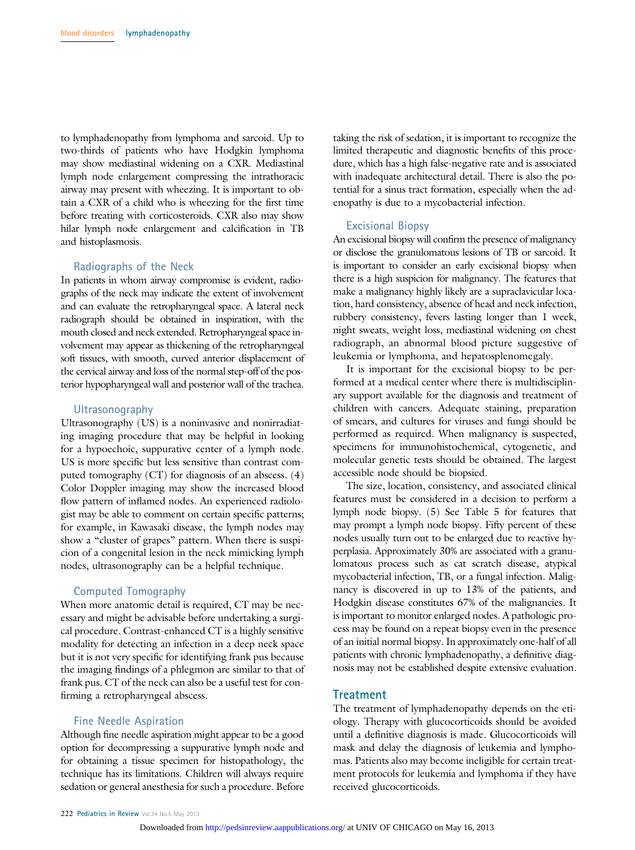to lymphadenopathy from lymphoma and sarcoid. Up to two-thirds of patients who have Hodgkin lymphoma may show mediastinal widening on a CXR. Mediastinal lymph node enlargement compressing the intrathoracic airway may present with wheezing. It is important to obtain a CXR of a child who is wheezing for the first time before treating with corticosteroids. CXR also may show hilar lymph node enlargement and calcification in TB and histoplasmosis.

#### Radiographs of the Neck

In patients in whom airway compromise is evident, radiographs of the neck may indicate the extent of involvement and can evaluate the retropharyngeal space. A lateral neck radiograph should be obtained in inspiration, with the mouth closed and neck extended. Retropharyngeal space involvement may appear as thickening of the retropharyngeal soft tissues, with smooth, curved anterior displacement of the cervical airway and loss of the normal step-off of the posterior hypopharyngeal wall and posterior wall of the trachea.

#### Ultrasonography

Ultrasonography (US) is a noninvasive and nonirradiating imaging procedure that may be helpful in looking for a hypoechoic, suppurative center of a lymph node. US is more specific but less sensitive than contrast computed tomography (CT) for diagnosis of an abscess. (4) Color Doppler imaging may show the increased blood flow pattern of inflamed nodes. An experienced radiologist may be able to comment on certain specific patterns; for example, in Kawasaki disease, the lymph nodes may show a "cluster of grapes" pattern. When there is suspicion of a congenital lesion in the neck mimicking lymph nodes, ultrasonography can be a helpful technique.

#### Computed Tomography

When more anatomic detail is required, CT may be necessary and might be advisable before undertaking a surgical procedure. Contrast-enhanced CT is a highly sensitive modality for detecting an infection in a deep neck space but it is not very specific for identifying frank pus because the imaging findings of a phlegmon are similar to that of frank pus. CT of the neck can also be a useful test for confirming a retropharyngeal abscess.

#### Fine Needle Aspiration

Although fine needle aspiration might appear to be a good option for decompressing a suppurative lymph node and for obtaining a tissue specimen for histopathology, the technique has its limitations. Children will always require sedation or general anesthesia for such a procedure. Before taking the risk of sedation, it is important to recognize the limited therapeutic and diagnostic benefits of this procedure, which has a high false-negative rate and is associated with inadequate architectural detail. There is also the potential for a sinus tract formation, especially when the adenopathy is due to a mycobacterial infection.

#### Excisional Biopsy

An excisional biopsy will confirm the presence of malignancy or disclose the granulomatous lesions of TB or sarcoid. It is important to consider an early excisional biopsy when there is a high suspicion for malignancy. The features that make a malignancy highly likely are a supraclavicular location, hard consistency, absence of head and neck infection, rubbery consistency, fevers lasting longer than 1 week, night sweats, weight loss, mediastinal widening on chest radiograph, an abnormal blood picture suggestive of leukemia or lymphoma, and hepatosplenomegaly.

It is important for the excisional biopsy to be performed at a medical center where there is multidisciplinary support available for the diagnosis and treatment of children with cancers. Adequate staining, preparation of smears, and cultures for viruses and fungi should be performed as required. When malignancy is suspected, specimens for immunohistochemical, cytogenetic, and molecular genetic tests should be obtained. The largest accessible node should be biopsied.

The size, location, consistency, and associated clinical features must be considered in a decision to perform a lymph node biopsy. (5) See Table 5 for features that may prompt a lymph node biopsy. Fifty percent of these nodes usually turn out to be enlarged due to reactive hyperplasia. Approximately 30% are associated with a granulomatous process such as cat scratch disease, atypical mycobacterial infection, TB, or a fungal infection. Malignancy is discovered in up to 13% of the patients, and Hodgkin disease constitutes 67% of the malignancies. It is important to monitor enlarged nodes. A pathologic process may be found on a repeat biopsy even in the presence of an initial normal biopsy. In approximately one-half of all patients with chronic lymphadenopathy, a definitive diagnosis may not be established despite extensive evaluation.

#### **Treatment**

The treatment of lymphadenopathy depends on the etiology. Therapy with glucocorticoids should be avoided until a definitive diagnosis is made. Glucocorticoids will mask and delay the diagnosis of leukemia and lymphomas. Patients also may become ineligible for certain treatment protocols for leukemia and lymphoma if they have received glucocorticoids.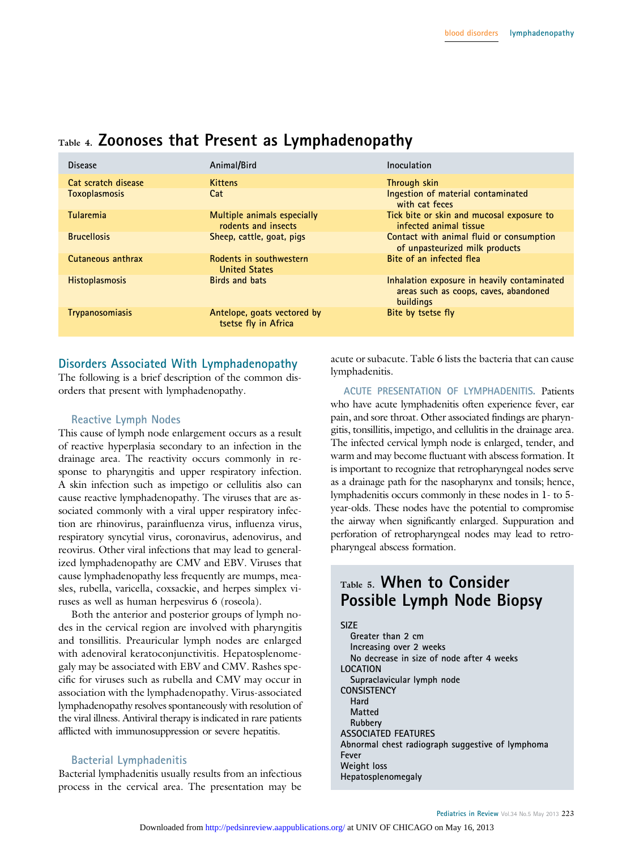| <b>Disease</b>         | Animal/Bird                                         | Inoculation                                                                                       |
|------------------------|-----------------------------------------------------|---------------------------------------------------------------------------------------------------|
| Cat scratch disease    | <b>Kittens</b>                                      | Through skin                                                                                      |
| <b>Toxoplasmosis</b>   | Cat                                                 | Ingestion of material contaminated<br>with cat feces                                              |
| Tularemia              | Multiple animals especially<br>rodents and insects  | Tick bite or skin and mucosal exposure to<br>infected animal tissue                               |
| <b>Brucellosis</b>     | Sheep, cattle, goat, pigs                           | Contact with animal fluid or consumption<br>of unpasteurized milk products                        |
| Cutaneous anthrax      | Rodents in southwestern<br><b>United States</b>     | Bite of an infected flea                                                                          |
| <b>Histoplasmosis</b>  | Birds and bats                                      | Inhalation exposure in heavily contaminated<br>areas such as coops, caves, abandoned<br>buildings |
| <b>Trypanosomiasis</b> | Antelope, goats vectored by<br>tsetse fly in Africa | Bite by tsetse fly                                                                                |

# Table 4. Zoonoses that Present as Lymphadenopathy

#### Disorders Associated With Lymphadenopathy

The following is a brief description of the common disorders that present with lymphadenopathy.

#### Reactive Lymph Nodes

This cause of lymph node enlargement occurs as a result of reactive hyperplasia secondary to an infection in the drainage area. The reactivity occurs commonly in response to pharyngitis and upper respiratory infection. A skin infection such as impetigo or cellulitis also can cause reactive lymphadenopathy. The viruses that are associated commonly with a viral upper respiratory infection are rhinovirus, parainfluenza virus, influenza virus, respiratory syncytial virus, coronavirus, adenovirus, and reovirus. Other viral infections that may lead to generalized lymphadenopathy are CMV and EBV. Viruses that cause lymphadenopathy less frequently are mumps, measles, rubella, varicella, coxsackie, and herpes simplex viruses as well as human herpesvirus 6 (roseola).

Both the anterior and posterior groups of lymph nodes in the cervical region are involved with pharyngitis and tonsillitis. Preauricular lymph nodes are enlarged with adenoviral keratoconjunctivitis. Hepatosplenomegaly may be associated with EBV and CMV. Rashes specific for viruses such as rubella and CMV may occur in association with the lymphadenopathy. Virus-associated lymphadenopathy resolves spontaneously with resolution of the viral illness. Antiviral therapy is indicated in rare patients afflicted with immunosuppression or severe hepatitis.

#### Bacterial Lymphadenitis

Bacterial lymphadenitis usually results from an infectious process in the cervical area. The presentation may be acute or subacute. Table 6 lists the bacteria that can cause lymphadenitis.

ACUTE PRESENTATION OF LYMPHADENITIS. Patients who have acute lymphadenitis often experience fever, ear pain, and sore throat. Other associated findings are pharyngitis, tonsillitis, impetigo, and cellulitis in the drainage area. The infected cervical lymph node is enlarged, tender, and warm and may become fluctuant with abscess formation. It is important to recognize that retropharyngeal nodes serve as a drainage path for the nasopharynx and tonsils; hence, lymphadenitis occurs commonly in these nodes in 1- to 5 year-olds. These nodes have the potential to compromise the airway when significantly enlarged. Suppuration and perforation of retropharyngeal nodes may lead to retropharyngeal abscess formation.

# Table 5. When to Consider Possible Lymph Node Biopsy

SIZE

Greater than 2 cm Increasing over 2 weeks No decrease in size of node after 4 weeks LOCATION Supraclavicular lymph node **CONSISTENCY** Hard Matted Rubbery ASSOCIATED FEATURES Abnormal chest radiograph suggestive of lymphoma Fever Weight loss Hepatosplenomegaly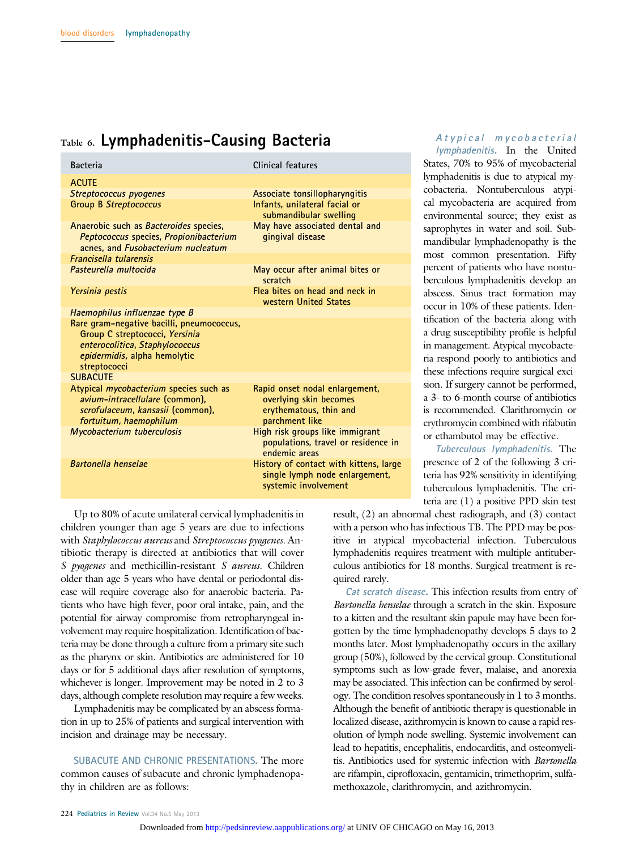# Table 6. Lymphadenitis-Causing Bacteria

| <b>Bacteria</b>                                                                                                                                               | Clinical features                                                                                    |
|---------------------------------------------------------------------------------------------------------------------------------------------------------------|------------------------------------------------------------------------------------------------------|
| <b>ACUTE</b>                                                                                                                                                  |                                                                                                      |
| <b>Streptococcus pyogenes</b><br><b>Group B Streptococcus</b>                                                                                                 | Associate tonsillopharyngitis<br>Infants, unilateral facial or<br>submandibular swelling             |
| Anaerobic such as Bacteroides species,<br>Peptococcus species, Propionibacterium<br>acnes, and Fusobacterium nucleatum                                        | May have associated dental and<br>gingival disease                                                   |
| Francisella tularensis                                                                                                                                        |                                                                                                      |
| Pasteurella multocida                                                                                                                                         | May occur after animal bites or<br>scratch                                                           |
| Yersinia pestis                                                                                                                                               | Flea bites on head and neck in<br>western United States                                              |
| Haemophilus influenzae type B                                                                                                                                 |                                                                                                      |
| Rare gram-negative bacilli, pneumococcus,<br>Group C streptococci, Yersinia<br>enterocolitica, Staphylococcus<br>epidermidis, alpha hemolytic<br>streptococci |                                                                                                      |
| <b>SUBACUTE</b>                                                                                                                                               |                                                                                                      |
| Atypical <i>mycobacterium</i> species such as<br>avium-intracellulare (common),<br>scrofulaceum, kansasii (common),<br>fortuitum, haemophilum                 | Rapid onset nodal enlargement,<br>overlying skin becomes<br>erythematous, thin and<br>parchment like |
| Mycobacterium tuberculosis                                                                                                                                    | High risk groups like immigrant<br>populations, travel or residence in<br>endemic areas              |
| <b>Bartonella henselae</b>                                                                                                                                    | History of contact with kittens, large<br>single lymph node enlargement,<br>systemic involvement     |

Up to 80% of acute unilateral cervical lymphadenitis in children younger than age 5 years are due to infections with Staphylococcus aureus and Streptococcus pyogenes. Antibiotic therapy is directed at antibiotics that will cover S pyogenes and methicillin-resistant S aureus. Children older than age 5 years who have dental or periodontal disease will require coverage also for anaerobic bacteria. Patients who have high fever, poor oral intake, pain, and the potential for airway compromise from retropharyngeal involvement may require hospitalization. Identification of bacteria may be done through a culture from a primary site such as the pharynx or skin. Antibiotics are administered for 10 days or for 5 additional days after resolution of symptoms, whichever is longer. Improvement may be noted in 2 to 3 days, although complete resolution may require a few weeks.

Lymphadenitis may be complicated by an abscess formation in up to 25% of patients and surgical intervention with incision and drainage may be necessary.

SUBACUTE AND CHRONIC PRESENTATIONS. The more common causes of subacute and chronic lymphadenopathy in children are as follows:

#### Atypical mycobacterial

lymphadenitis. In the United States, 70% to 95% of mycobacterial lymphadenitis is due to atypical mycobacteria. Nontuberculous atypical mycobacteria are acquired from environmental source; they exist as saprophytes in water and soil. Submandibular lymphadenopathy is the most common presentation. Fifty percent of patients who have nontuberculous lymphadenitis develop an abscess. Sinus tract formation may occur in 10% of these patients. Identification of the bacteria along with a drug susceptibility profile is helpful in management. Atypical mycobacteria respond poorly to antibiotics and these infections require surgical excision. If surgery cannot be performed, a 3- to 6-month course of antibiotics is recommended. Clarithromycin or erythromycin combined with rifabutin or ethambutol may be effective.

Tuberculous lymphadenitis. The presence of 2 of the following 3 criteria has 92% sensitivity in identifying tuberculous lymphadenitis. The criteria are (1) a positive PPD skin test

result, (2) an abnormal chest radiograph, and (3) contact with a person who has infectious TB. The PPD may be positive in atypical mycobacterial infection. Tuberculous lymphadenitis requires treatment with multiple antituberculous antibiotics for 18 months. Surgical treatment is required rarely.

Cat scratch disease. This infection results from entry of Bartonella henselae through a scratch in the skin. Exposure to a kitten and the resultant skin papule may have been forgotten by the time lymphadenopathy develops 5 days to 2 months later. Most lymphadenopathy occurs in the axillary group (50%), followed by the cervical group. Constitutional symptoms such as low-grade fever, malaise, and anorexia may be associated. This infection can be confirmed by serology. The condition resolves spontaneously in 1 to 3 months. Although the benefit of antibiotic therapy is questionable in localized disease, azithromycin is known to cause a rapid resolution of lymph node swelling. Systemic involvement can lead to hepatitis, encephalitis, endocarditis, and osteomyelitis. Antibiotics used for systemic infection with Bartonella are rifampin, ciprofloxacin, gentamicin, trimethoprim, sulfamethoxazole, clarithromycin, and azithromycin.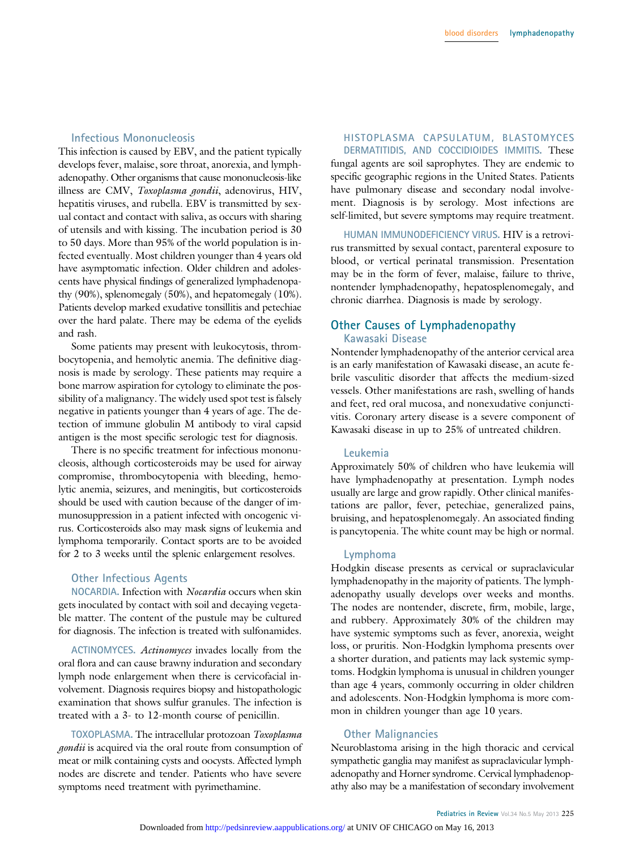#### Infectious Mononucleosis

This infection is caused by EBV, and the patient typically develops fever, malaise, sore throat, anorexia, and lymphadenopathy. Other organisms that cause mononucleosis-like illness are CMV, Toxoplasma gondii, adenovirus, HIV, hepatitis viruses, and rubella. EBV is transmitted by sexual contact and contact with saliva, as occurs with sharing of utensils and with kissing. The incubation period is 30 to 50 days. More than 95% of the world population is infected eventually. Most children younger than 4 years old have asymptomatic infection. Older children and adolescents have physical findings of generalized lymphadenopathy (90%), splenomegaly (50%), and hepatomegaly (10%). Patients develop marked exudative tonsillitis and petechiae over the hard palate. There may be edema of the eyelids and rash.

Some patients may present with leukocytosis, thrombocytopenia, and hemolytic anemia. The definitive diagnosis is made by serology. These patients may require a bone marrow aspiration for cytology to eliminate the possibility of a malignancy. The widely used spot test is falsely negative in patients younger than 4 years of age. The detection of immune globulin M antibody to viral capsid antigen is the most specific serologic test for diagnosis.

There is no specific treatment for infectious mononucleosis, although corticosteroids may be used for airway compromise, thrombocytopenia with bleeding, hemolytic anemia, seizures, and meningitis, but corticosteroids should be used with caution because of the danger of immunosuppression in a patient infected with oncogenic virus. Corticosteroids also may mask signs of leukemia and lymphoma temporarily. Contact sports are to be avoided for 2 to 3 weeks until the splenic enlargement resolves.

#### Other Infectious Agents

NOCARDIA. Infection with Nocardia occurs when skin gets inoculated by contact with soil and decaying vegetable matter. The content of the pustule may be cultured for diagnosis. The infection is treated with sulfonamides.

ACTINOMYCES. Actinomyces invades locally from the oral flora and can cause brawny induration and secondary lymph node enlargement when there is cervicofacial involvement. Diagnosis requires biopsy and histopathologic examination that shows sulfur granules. The infection is treated with a 3- to 12-month course of penicillin.

TOXOPLASMA. The intracellular protozoan Toxoplasma gondii is acquired via the oral route from consumption of meat or milk containing cysts and oocysts. Affected lymph nodes are discrete and tender. Patients who have severe symptoms need treatment with pyrimethamine.

# HISTOPLASMA CAPSULATUM, BLASTOMYCES DERMATITIDIS, AND COCCIDIOIDES IMMITIS. These

fungal agents are soil saprophytes. They are endemic to specific geographic regions in the United States. Patients have pulmonary disease and secondary nodal involvement. Diagnosis is by serology. Most infections are self-limited, but severe symptoms may require treatment.

HUMAN IMMUNODEFICIENCY VIRUS. HIV is a retrovirus transmitted by sexual contact, parenteral exposure to blood, or vertical perinatal transmission. Presentation may be in the form of fever, malaise, failure to thrive, nontender lymphadenopathy, hepatosplenomegaly, and chronic diarrhea. Diagnosis is made by serology.

#### Other Causes of Lymphadenopathy Kawasaki Disease

Nontender lymphadenopathy of the anterior cervical area is an early manifestation of Kawasaki disease, an acute febrile vasculitic disorder that affects the medium-sized vessels. Other manifestations are rash, swelling of hands and feet, red oral mucosa, and nonexudative conjunctivitis. Coronary artery disease is a severe component of Kawasaki disease in up to 25% of untreated children.

#### Leukemia

Approximately 50% of children who have leukemia will have lymphadenopathy at presentation. Lymph nodes usually are large and grow rapidly. Other clinical manifestations are pallor, fever, petechiae, generalized pains, bruising, and hepatosplenomegaly. An associated finding is pancytopenia. The white count may be high or normal.

#### Lymphoma

Hodgkin disease presents as cervical or supraclavicular lymphadenopathy in the majority of patients. The lymphadenopathy usually develops over weeks and months. The nodes are nontender, discrete, firm, mobile, large, and rubbery. Approximately 30% of the children may have systemic symptoms such as fever, anorexia, weight loss, or pruritis. Non-Hodgkin lymphoma presents over a shorter duration, and patients may lack systemic symptoms. Hodgkin lymphoma is unusual in children younger than age 4 years, commonly occurring in older children and adolescents. Non-Hodgkin lymphoma is more common in children younger than age 10 years.

#### Other Malignancies

Neuroblastoma arising in the high thoracic and cervical sympathetic ganglia may manifest as supraclavicular lymphadenopathy and Horner syndrome. Cervical lymphadenopathy also may be a manifestation of secondary involvement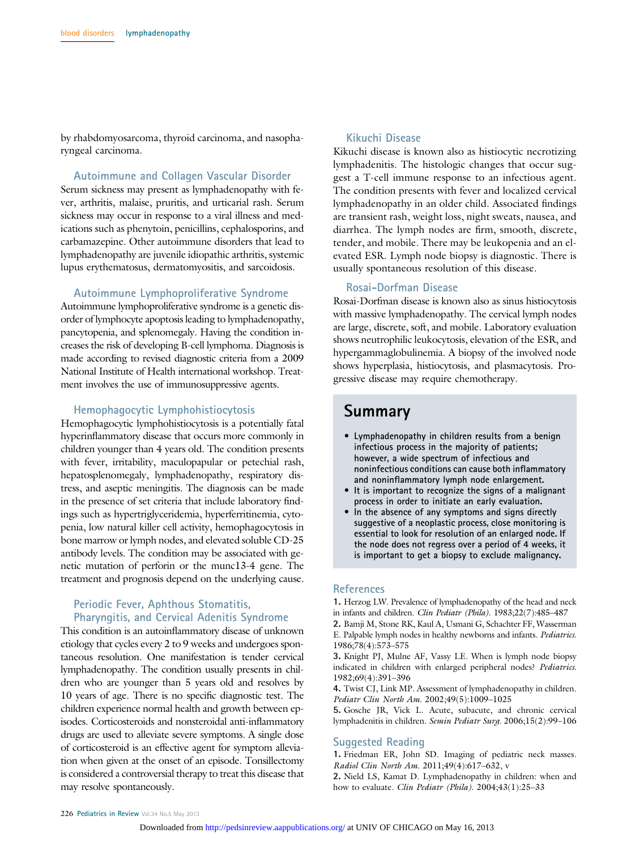by rhabdomyosarcoma, thyroid carcinoma, and nasopharyngeal carcinoma.

#### Autoimmune and Collagen Vascular Disorder

Serum sickness may present as lymphadenopathy with fever, arthritis, malaise, pruritis, and urticarial rash. Serum sickness may occur in response to a viral illness and medications such as phenytoin, penicillins, cephalosporins, and carbamazepine. Other autoimmune disorders that lead to lymphadenopathy are juvenile idiopathic arthritis, systemic lupus erythematosus, dermatomyositis, and sarcoidosis.

#### Autoimmune Lymphoproliferative Syndrome

Autoimmune lymphoproliferative syndrome is a genetic disorder of lymphocyte apoptosis leading to lymphadenopathy, pancytopenia, and splenomegaly. Having the condition increases the risk of developing B-cell lymphoma. Diagnosis is made according to revised diagnostic criteria from a 2009 National Institute of Health international workshop. Treatment involves the use of immunosuppressive agents.

#### Hemophagocytic Lymphohistiocytosis

Hemophagocytic lymphohistiocytosis is a potentially fatal hyperinflammatory disease that occurs more commonly in children younger than 4 years old. The condition presents with fever, irritability, maculopapular or petechial rash, hepatosplenomegaly, lymphadenopathy, respiratory distress, and aseptic meningitis. The diagnosis can be made in the presence of set criteria that include laboratory findings such as hypertriglyceridemia, hyperferritinemia, cytopenia, low natural killer cell activity, hemophagocytosis in bone marrow or lymph nodes, and elevated soluble CD-25 antibody levels. The condition may be associated with genetic mutation of perforin or the munc13-4 gene. The treatment and prognosis depend on the underlying cause.

#### Periodic Fever, Aphthous Stomatitis, Pharyngitis, and Cervical Adenitis Syndrome

This condition is an autoinflammatory disease of unknown etiology that cycles every 2 to 9 weeks and undergoes spontaneous resolution. One manifestation is tender cervical lymphadenopathy. The condition usually presents in children who are younger than 5 years old and resolves by 10 years of age. There is no specific diagnostic test. The children experience normal health and growth between episodes. Corticosteroids and nonsteroidal anti-inflammatory drugs are used to alleviate severe symptoms. A single dose of corticosteroid is an effective agent for symptom alleviation when given at the onset of an episode. Tonsillectomy is considered a controversial therapy to treat this disease that may resolve spontaneously.

#### Kikuchi Disease

Kikuchi disease is known also as histiocytic necrotizing lymphadenitis. The histologic changes that occur suggest a T-cell immune response to an infectious agent. The condition presents with fever and localized cervical lymphadenopathy in an older child. Associated findings are transient rash, weight loss, night sweats, nausea, and diarrhea. The lymph nodes are firm, smooth, discrete, tender, and mobile. There may be leukopenia and an elevated ESR. Lymph node biopsy is diagnostic. There is usually spontaneous resolution of this disease.

#### Rosai-Dorfman Disease

Rosai-Dorfman disease is known also as sinus histiocytosis with massive lymphadenopathy. The cervical lymph nodes are large, discrete, soft, and mobile. Laboratory evaluation shows neutrophilic leukocytosis, elevation of the ESR, and hypergammaglobulinemia. A biopsy of the involved node shows hyperplasia, histiocytosis, and plasmacytosis. Progressive disease may require chemotherapy.

# Summary

- Lymphadenopathy in children results from a benign infectious process in the majority of patients; however, a wide spectrum of infectious and noninfectious conditions can cause both inflammatory and noninflammatory lymph node enlargement.
- It is important to recognize the signs of a malignant process in order to initiate an early evaluation.
- In the absence of any symptoms and signs directly suggestive of a neoplastic process, close monitoring is essential to look for resolution of an enlarged node. If the node does not regress over a period of 4 weeks, it is important to get a biopsy to exclude malignancy.

#### References

1. Herzog LW. Prevalence of lymphadenopathy of the head and neck in infants and children. Clin Pediatr (Phila). 1983;22(7):485–487

2. Bamji M, Stone RK, Kaul A, Usmani G, Schachter FF, Wasserman E. Palpable lymph nodes in healthy newborns and infants. Pediatrics. 1986;78(4):573–575

3. Knight PJ, Mulne AF, Vassy LE. When is lymph node biopsy indicated in children with enlarged peripheral nodes? Pediatrics. 1982;69(4):391–396

4. Twist CJ, Link MP. Assessment of lymphadenopathy in children. Pediatr Clin North Am. 2002;49(5):1009–1025

5. Gosche JR, Vick L. Acute, subacute, and chronic cervical lymphadenitis in children. Semin Pediatr Surg. 2006;15(2):99–106

#### Suggested Reading

1. Friedman ER, John SD. Imaging of pediatric neck masses. Radiol Clin North Am. 2011;49(4):617–632, v

2. Nield LS, Kamat D. Lymphadenopathy in children: when and how to evaluate. *Clin Pediatr (Phila)*. 2004;43(1):25-33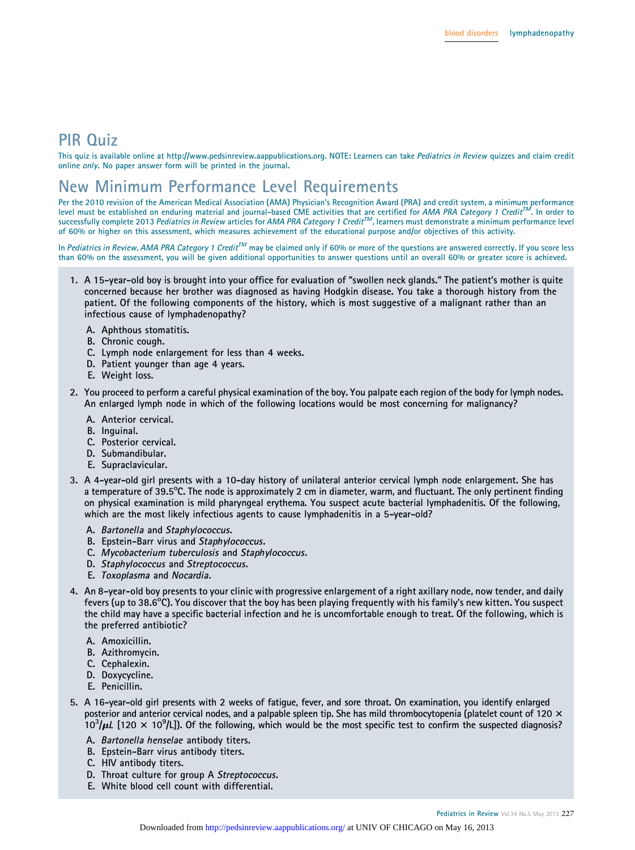# PIR Quiz

This quiz is available online at<http://www.pedsinreview.aappublications.org>. NOTE: Learners can take Pediatrics in Review quizzes and claim credit online only. No paper answer form will be printed in the journal.

# New Minimum Performance Level Requirements

Per the 2010 revision of the American Medical Association (AMA) Physician's Recognition Award (PRA) and credit system, a minimum performance level must be established on enduring material and journal-based CME activities that are certified for AMA PRA Category 1 Credit<sup>TM</sup>. In order to successfully complete 2013 *Pediatrics in Review* articles for AMA PRA Category 1 Credit<sup>TM</sup>, learners must demonstrate a minimum performance level of 60% or higher on this assessment, which measures achievement of the educational purpose and/or objectives of this activity.

In Pediatrics in Review, AMA PRA Category 1 Credit™ may be claimed only if 60% or more of the questions are answered correctly. If you score less than 60% on the assessment, you will be given additional opportunities to answer questions until an overall 60% or greater score is achieved.

- 1. A 15-year-old boy is brought into your office for evaluation of "swollen neck glands." The patient's mother is quite concerned because her brother was diagnosed as having Hodgkin disease. You take a thorough history from the patient. Of the following components of the history, which is most suggestive of a malignant rather than an infectious cause of lymphadenopathy?
	- A. Aphthous stomatitis.
	- B. Chronic cough.
	- C. Lymph node enlargement for less than 4 weeks.
	- D. Patient younger than age 4 years.
	- E. Weight loss.
- 2. You proceed to perform a careful physical examination of the boy. You palpate each region of the body for lymph nodes. An enlarged lymph node in which of the following locations would be most concerning for malignancy?
	- A. Anterior cervical.
	- B. Inguinal.
	- C. Posterior cervical.
	- D. Submandibular.
	- E. Supraclavicular.
- 3. A 4-year-old girl presents with a 10-day history of unilateral anterior cervical lymph node enlargement. She has a temperature of 39.5°C. The node is approximately 2 cm in diameter, warm, and fluctuant. The only pertinent finding on physical examination is mild pharyngeal erythema. You suspect acute bacterial lymphadenitis. Of the following, which are the most likely infectious agents to cause lymphadenitis in a 5-year-old?
	- A. Bartonella and Staphylococcus.
	- B. Epstein-Barr virus and Staphylococcus.
	- C. Mycobacterium tuberculosis and Staphylococcus.
	- D. Staphylococcus and Streptococcus.
	- E. Toxoplasma and Nocardia.
- 4. An 8-year-old boy presents to your clinic with progressive enlargement of a right axillary node, now tender, and daily fevers (up to 38.6°C). You discover that the boy has been playing frequently with his family's new kitten. You suspect the child may have a specific bacterial infection and he is uncomfortable enough to treat. Of the following, which is the preferred antibiotic?
	- A. Amoxicillin.
	- B. Azithromycin.
	- C. Cephalexin.
	- D. Doxycycline.
	- E. Penicillin.
- 5. A 16-year-old girl presents with 2 weeks of fatigue, fever, and sore throat. On examination, you identify enlarged posterior and anterior cervical nodes, and a palpable spleen tip. She has mild thrombocytopenia (platelet count of 120  $\times$  $10^3$ / $\mu$ L [120 × 10<sup>9</sup>/L]). Of the following, which would be the most specific test to confirm the suspected diagnosis?
	- A. Bartonella henselae antibody titers.
	- B. Epstein-Barr virus antibody titers.
	- C. HIV antibody titers.
	- D. Throat culture for group A Streptococcus.
	- E. White blood cell count with differential.

Pediatrics in Review Vol.34 No.5 May 2013 227